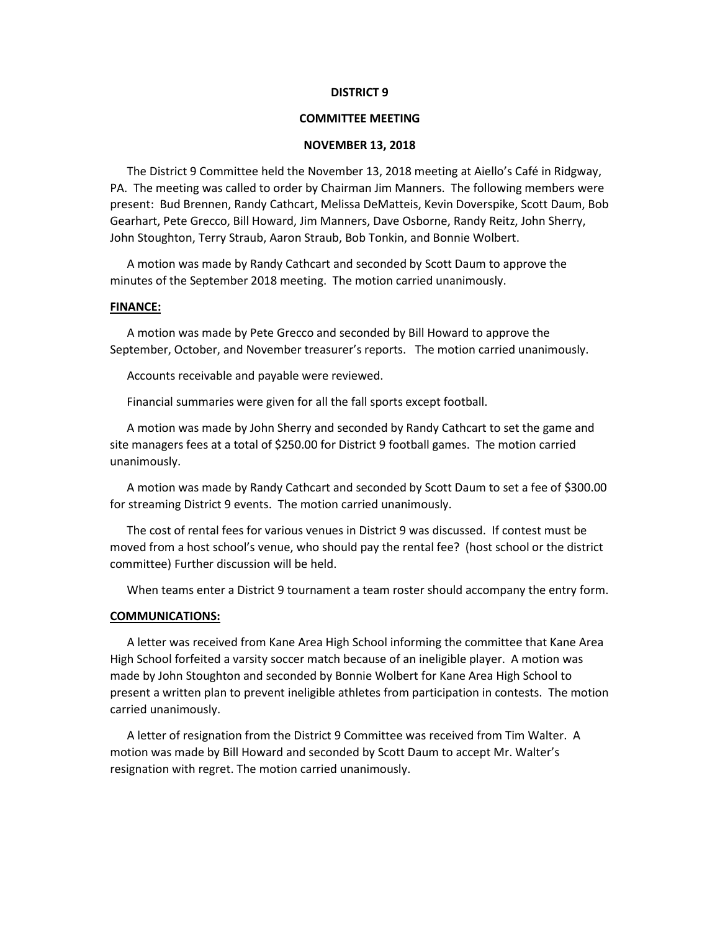#### **DISTRICT 9**

# **COMMITTEE MEETING**

### **NOVEMBER 13, 2018**

The District 9 Committee held the November 13, 2018 meeting at Aiello's Café in Ridgway, PA. The meeting was called to order by Chairman Jim Manners. The following members were present: Bud Brennen, Randy Cathcart, Melissa DeMatteis, Kevin Doverspike, Scott Daum, Bob Gearhart, Pete Grecco, Bill Howard, Jim Manners, Dave Osborne, Randy Reitz, John Sherry, John Stoughton, Terry Straub, Aaron Straub, Bob Tonkin, and Bonnie Wolbert.

A motion was made by Randy Cathcart and seconded by Scott Daum to approve the minutes of the September 2018 meeting. The motion carried unanimously.

## **FINANCE:**

A motion was made by Pete Grecco and seconded by Bill Howard to approve the September, October, and November treasurer's reports. The motion carried unanimously.

Accounts receivable and payable were reviewed.

Financial summaries were given for all the fall sports except football.

A motion was made by John Sherry and seconded by Randy Cathcart to set the game and site managers fees at a total of \$250.00 for District 9 football games. The motion carried unanimously.

A motion was made by Randy Cathcart and seconded by Scott Daum to set a fee of \$300.00 for streaming District 9 events. The motion carried unanimously.

The cost of rental fees for various venues in District 9 was discussed. If contest must be moved from a host school's venue, who should pay the rental fee? (host school or the district committee) Further discussion will be held.

When teams enter a District 9 tournament a team roster should accompany the entry form.

#### **COMMUNICATIONS:**

A letter was received from Kane Area High School informing the committee that Kane Area High School forfeited a varsity soccer match because of an ineligible player. A motion was made by John Stoughton and seconded by Bonnie Wolbert for Kane Area High School to present a written plan to prevent ineligible athletes from participation in contests. The motion carried unanimously.

A letter of resignation from the District 9 Committee was received from Tim Walter. A motion was made by Bill Howard and seconded by Scott Daum to accept Mr. Walter's resignation with regret. The motion carried unanimously.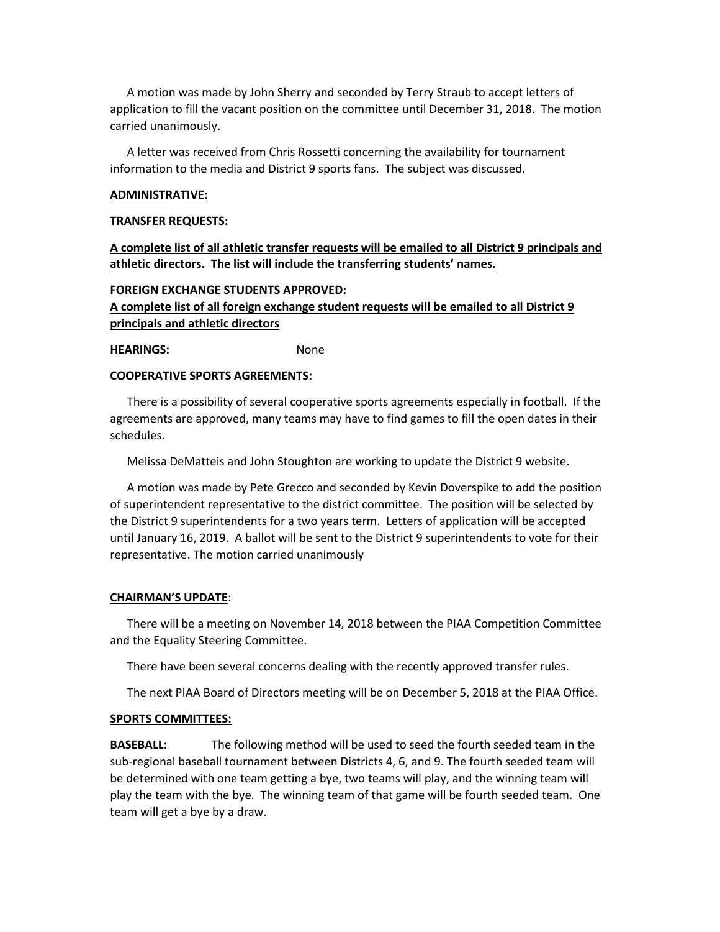A motion was made by John Sherry and seconded by Terry Straub to accept letters of application to fill the vacant position on the committee until December 31, 2018. The motion carried unanimously.

A letter was received from Chris Rossetti concerning the availability for tournament information to the media and District 9 sports fans. The subject was discussed.

## **ADMINISTRATIVE:**

#### **TRANSFER REQUESTS:**

**A complete list of all athletic transfer requests will be emailed to all District 9 principals and athletic directors. The list will include the transferring students' names.**

# **FOREIGN EXCHANGE STUDENTS APPROVED:**

**A complete list of all foreign exchange student requests will be emailed to all District 9 principals and athletic directors**

**HEARINGS:** None

# **COOPERATIVE SPORTS AGREEMENTS:**

There is a possibility of several cooperative sports agreements especially in football. If the agreements are approved, many teams may have to find games to fill the open dates in their schedules.

Melissa DeMatteis and John Stoughton are working to update the District 9 website.

A motion was made by Pete Grecco and seconded by Kevin Doverspike to add the position of superintendent representative to the district committee. The position will be selected by the District 9 superintendents for a two years term. Letters of application will be accepted until January 16, 2019. A ballot will be sent to the District 9 superintendents to vote for their representative. The motion carried unanimously

# **CHAIRMAN'S UPDATE**:

There will be a meeting on November 14, 2018 between the PIAA Competition Committee and the Equality Steering Committee.

There have been several concerns dealing with the recently approved transfer rules.

The next PIAA Board of Directors meeting will be on December 5, 2018 at the PIAA Office.

#### **SPORTS COMMITTEES:**

**BASEBALL:** The following method will be used to seed the fourth seeded team in the sub-regional baseball tournament between Districts 4, 6, and 9. The fourth seeded team will be determined with one team getting a bye, two teams will play, and the winning team will play the team with the bye. The winning team of that game will be fourth seeded team. One team will get a bye by a draw.